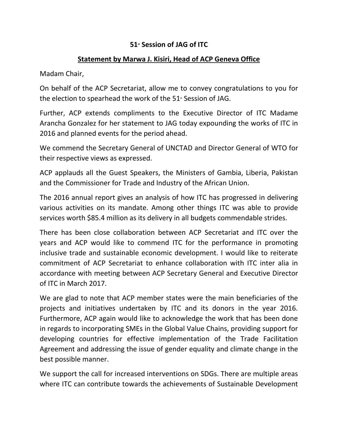## **51st Session of JAG of ITC**

## **Statement by Marwa J. Kisiri, Head of ACP Geneva Office**

Madam Chair,

On behalf of the ACP Secretariat, allow me to convey congratulations to you for the election to spearhead the work of the  $51<sup>*</sup>$  Session of JAG.

Further, ACP extends compliments to the Executive Director of ITC Madame Arancha Gonzalez for her statement to JAG today expounding the works of ITC in 2016 and planned events for the period ahead.

We commend the Secretary General of UNCTAD and Director General of WTO for their respective views as expressed.

ACP applauds all the Guest Speakers, the Ministers of Gambia, Liberia, Pakistan and the Commissioner for Trade and Industry of the African Union.

The 2016 annual report gives an analysis of how ITC has progressed in delivering various activities on its mandate. Among other things ITC was able to provide services worth \$85.4 million as its delivery in all budgets commendable strides.

There has been close collaboration between ACP Secretariat and ITC over the years and ACP would like to commend ITC for the performance in promoting inclusive trade and sustainable economic development. I would like to reiterate commitment of ACP Secretariat to enhance collaboration with ITC inter alia in accordance with meeting between ACP Secretary General and Executive Director of ITC in March 2017.

We are glad to note that ACP member states were the main beneficiaries of the projects and initiatives undertaken by ITC and its donors in the year 2016. Furthermore, ACP again would like to acknowledge the work that has been done in regards to incorporating SMEs in the Global Value Chains, providing support for developing countries for effective implementation of the Trade Facilitation Agreement and addressing the issue of gender equality and climate change in the best possible manner.

We support the call for increased interventions on SDGs. There are multiple areas where ITC can contribute towards the achievements of Sustainable Development